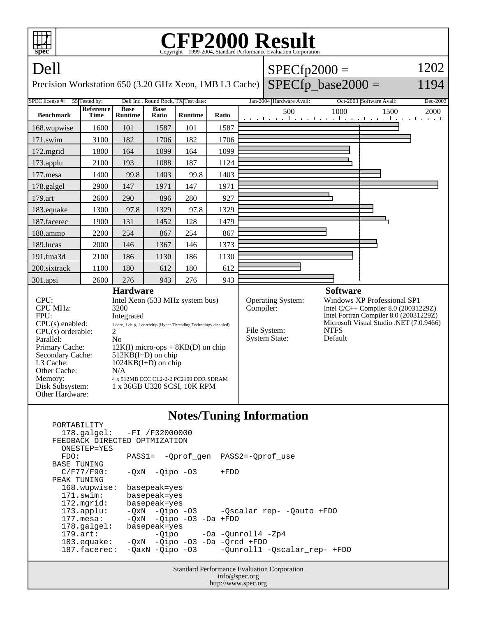

http://www.spec.org

| PORTABILITY                                        |                                           |                                              |
|----------------------------------------------------|-------------------------------------------|----------------------------------------------|
|                                                    | 178.galgel: -FI /F32000000                |                                              |
| FEEDBACK DIRECTED OPTMIZATION                      |                                           |                                              |
| ONESTEP=YES                                        |                                           |                                              |
| FDO:                                               | PASS1= - Oprof gen PASS2=-Oprof use       |                                              |
| BASE TUNING                                        |                                           |                                              |
| $C/F77/F90$ :                                      | $-0xN$ $-0ipo$ $-03$                      | $+FDO$                                       |
| PEAK TUNING                                        |                                           |                                              |
| 168.wupwise:                                       | basepeak=yes                              |                                              |
| 171.swim:                                          | basepeak=yes                              |                                              |
| 172.mgrid:                                         | basepeak=yes                              |                                              |
| $173.\text{applu}:$                                |                                           | -QxN -Qipo -03 - Qscalar_rep- -Qauto +FDO    |
| $177.\text{mesa}$ :                                | $-OxN$ $-Oipo$ $-O3$ $-Oa$ $+FDO$         |                                              |
| $178.\text{qalgel}$ :                              | basepeak=yes                              |                                              |
| $179.\text{art}$ :                                 |                                           | $-Oipo$ $-Oa$ $-Ounroll4$ $-Zp4$             |
| 183.equake:                                        | $-0xN$ $-0ipo$ $-03$ $-0a$ $-0rcd$ $+FD0$ |                                              |
| 187.facerec:                                       |                                           | -QaxN -Qipo -03 -Qunroll1 -Qscalar_rep- +FDO |
|                                                    |                                           |                                              |
| <b>Standard Performance Evaluation Corporation</b> |                                           |                                              |
| info@spec.org                                      |                                           |                                              |